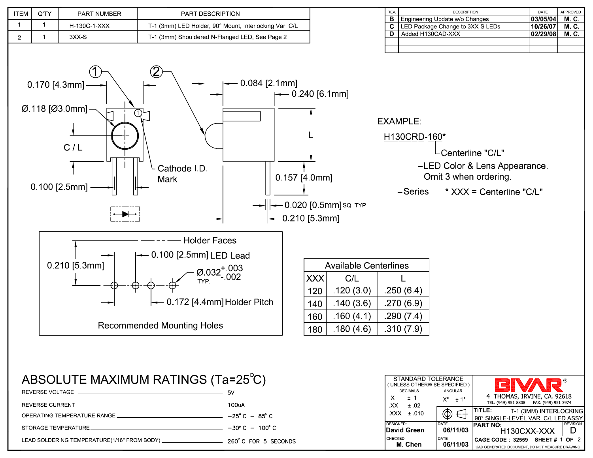